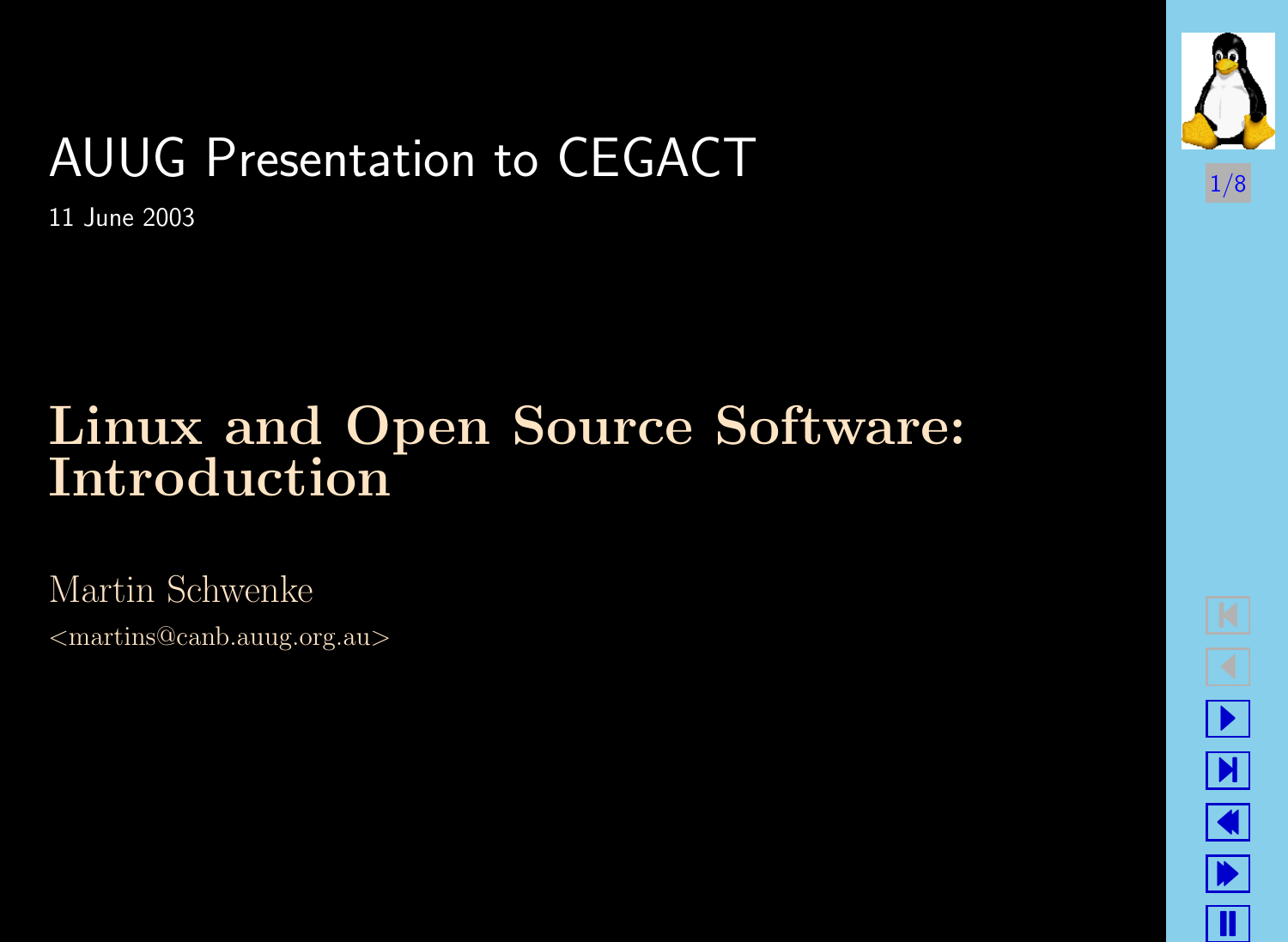# AUUG Presentation to CEGACT

11 June 2003

#### Linux and Open Source Software: Introduction

Martin Schwenke

<martins@canb.auug.org.au>



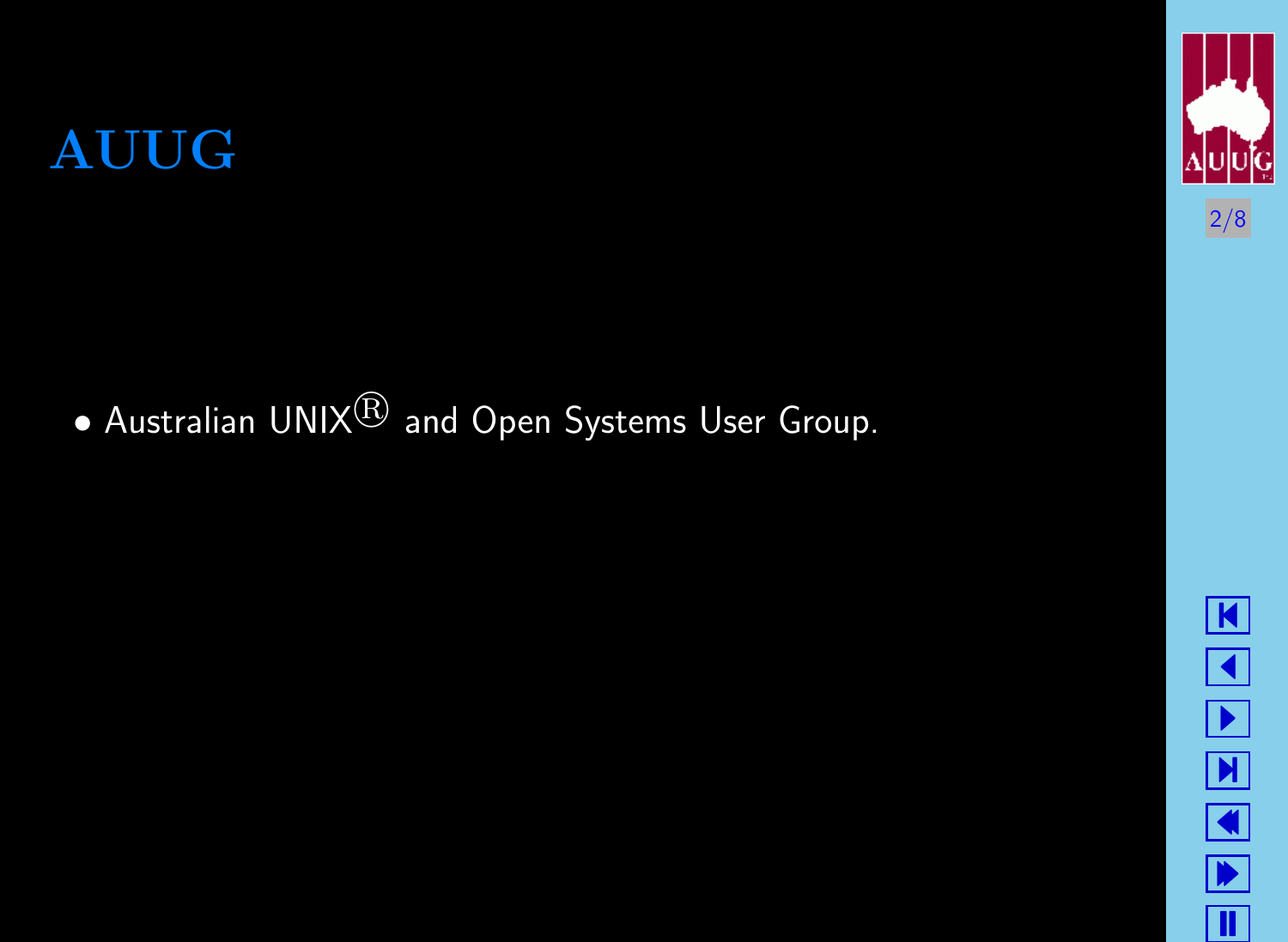$\bullet$  Australian UNIX $^{\circledR}$  and Open Systems User Group.

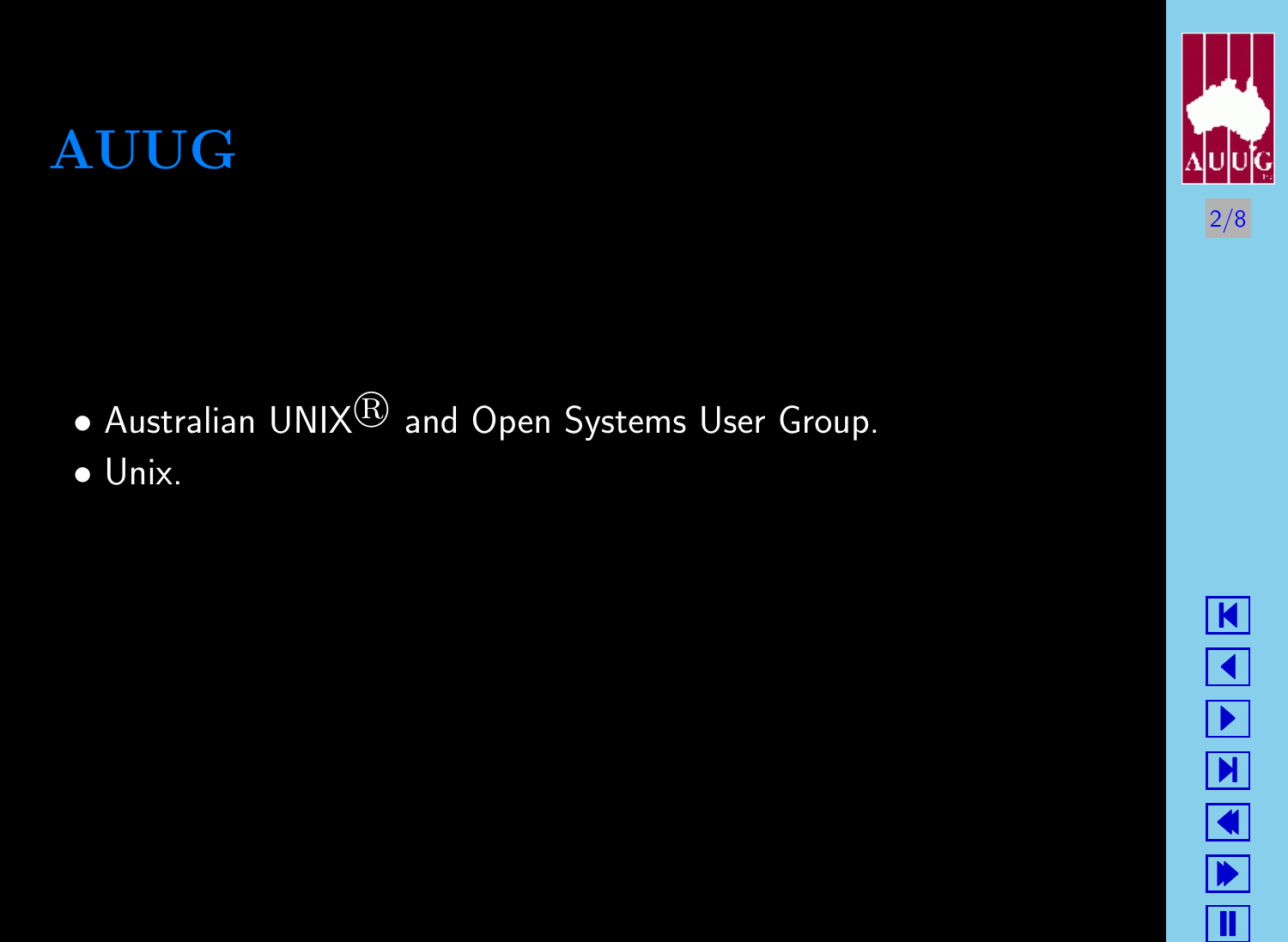$\bullet$  Australian UNIX $^{\circledR}$  and Open Systems User Group.

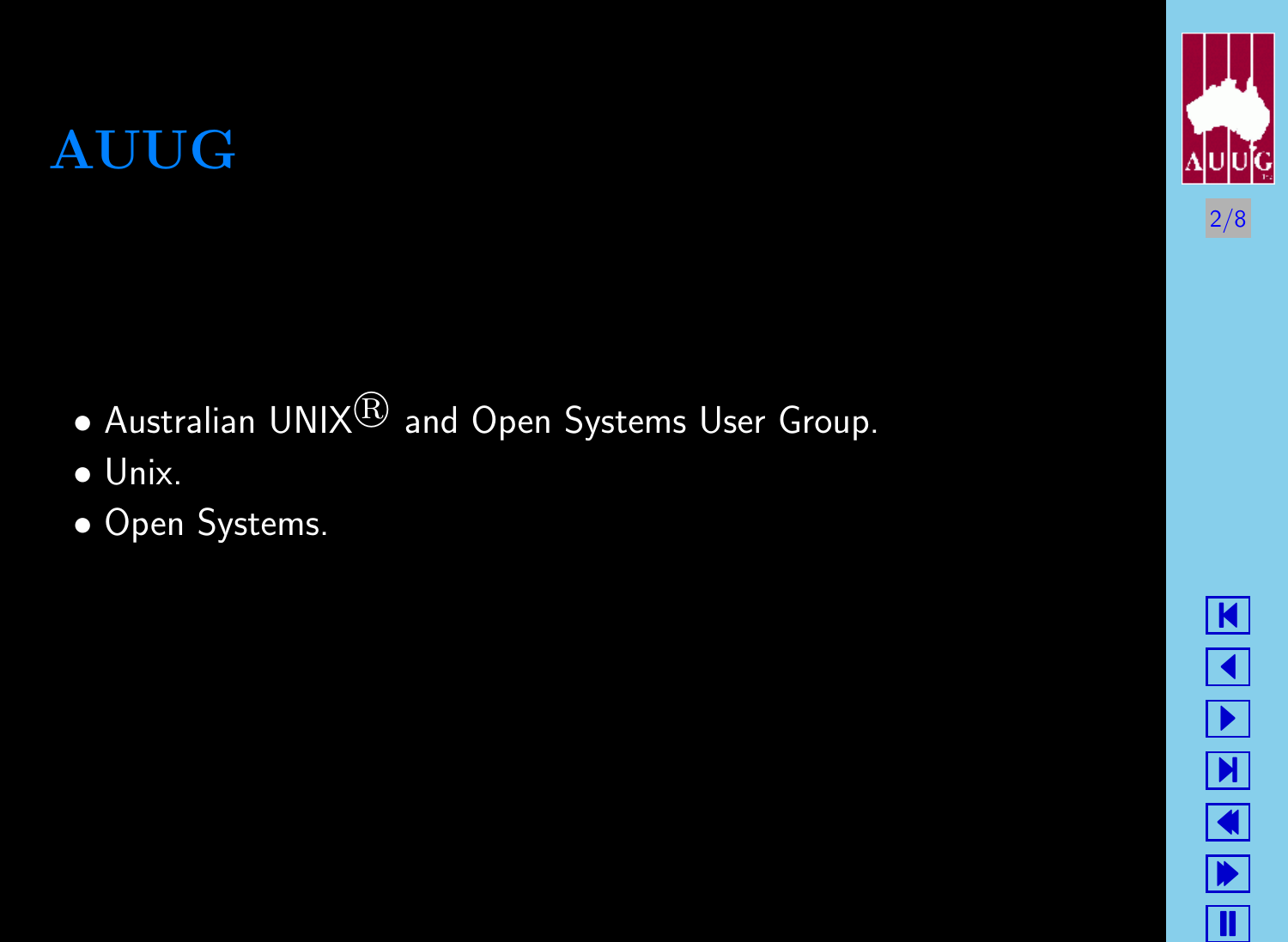$\bullet$  Australian UNIX $^{\circledR}$  and Open Systems User Group.

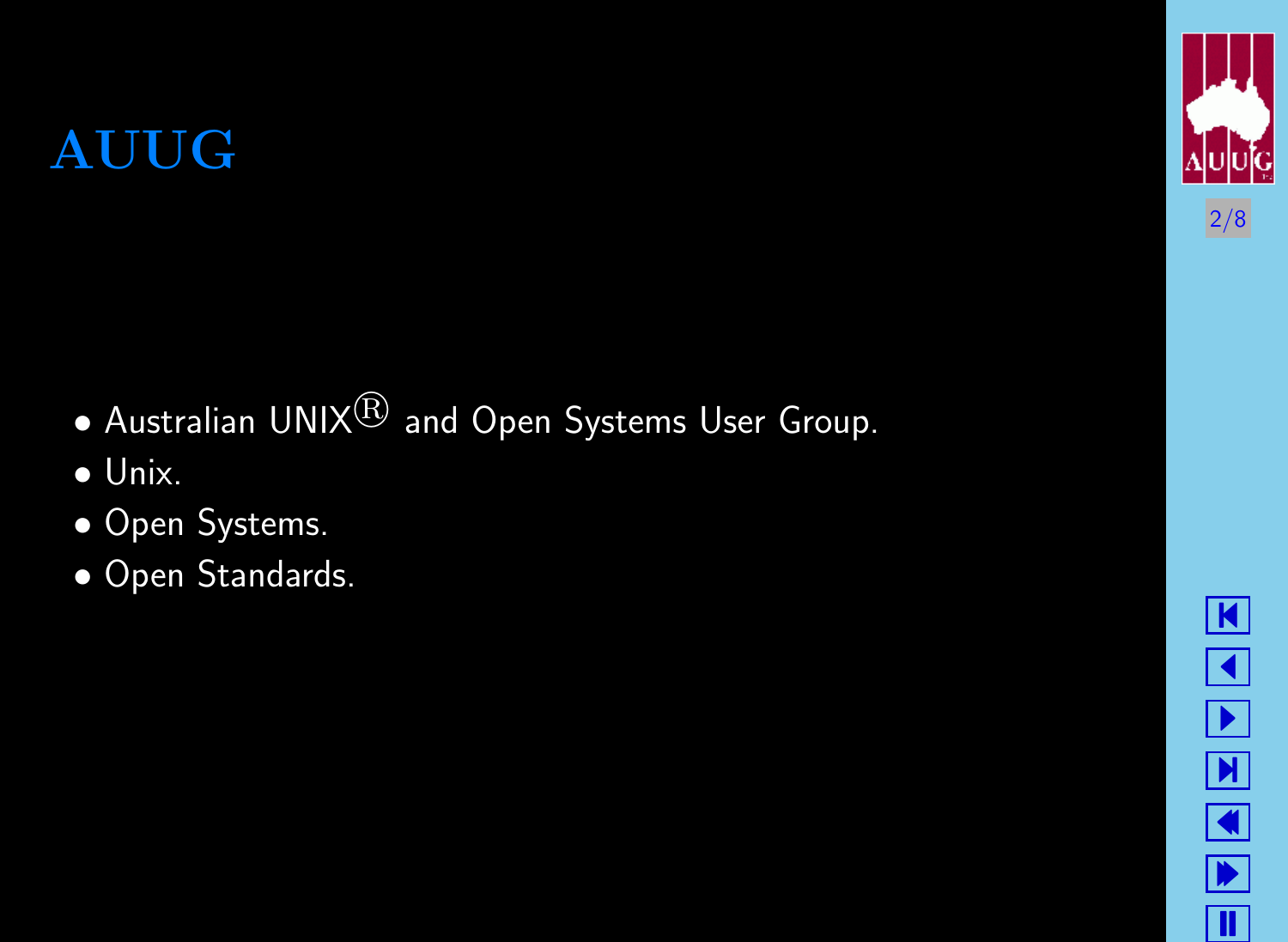$\bullet$  Australian UNIX $^{\circledR}$  and Open Systems User Group.

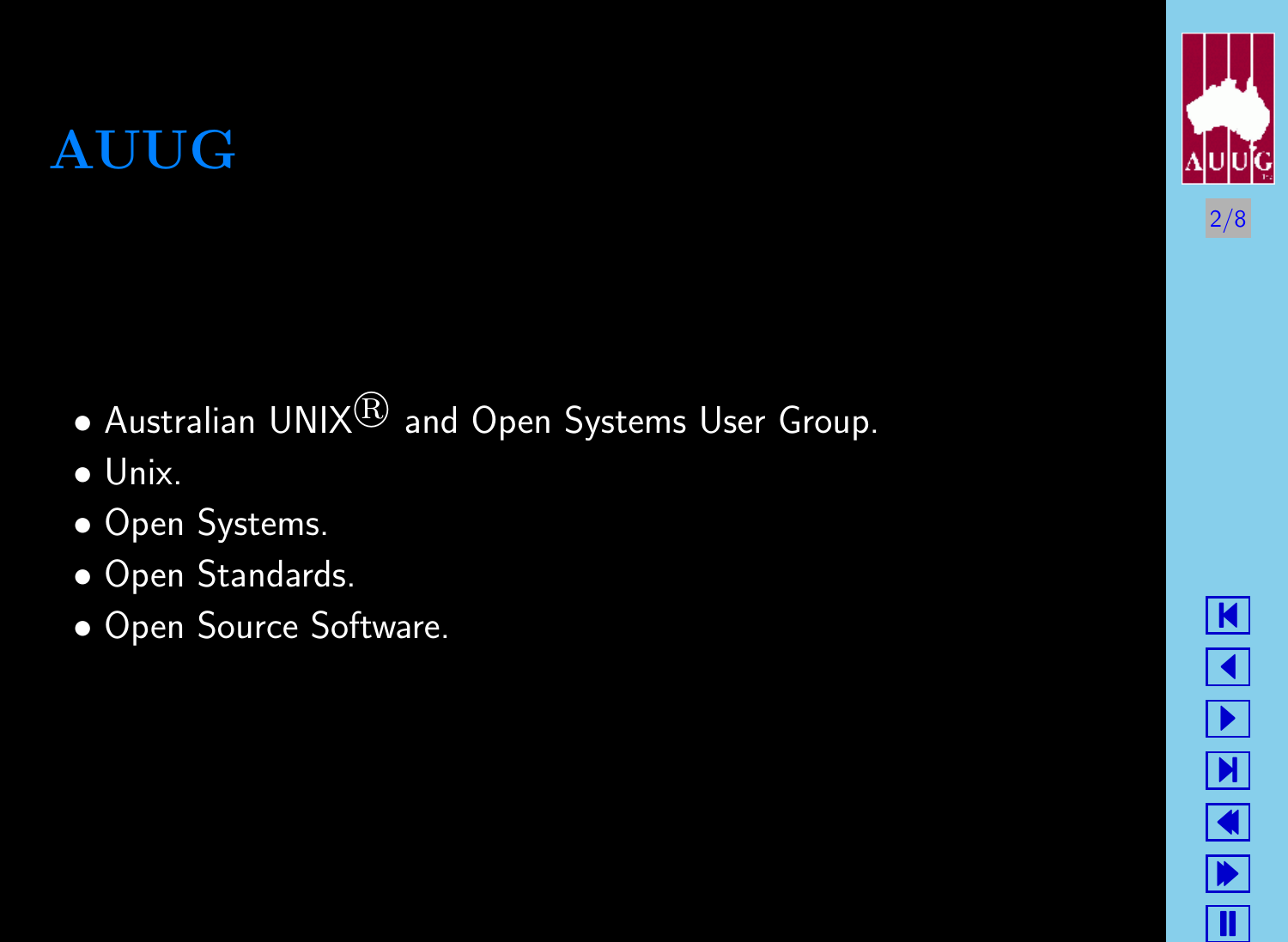$\bullet$  Australian UNIX $^{\circledR}$  and Open Systems User Group.

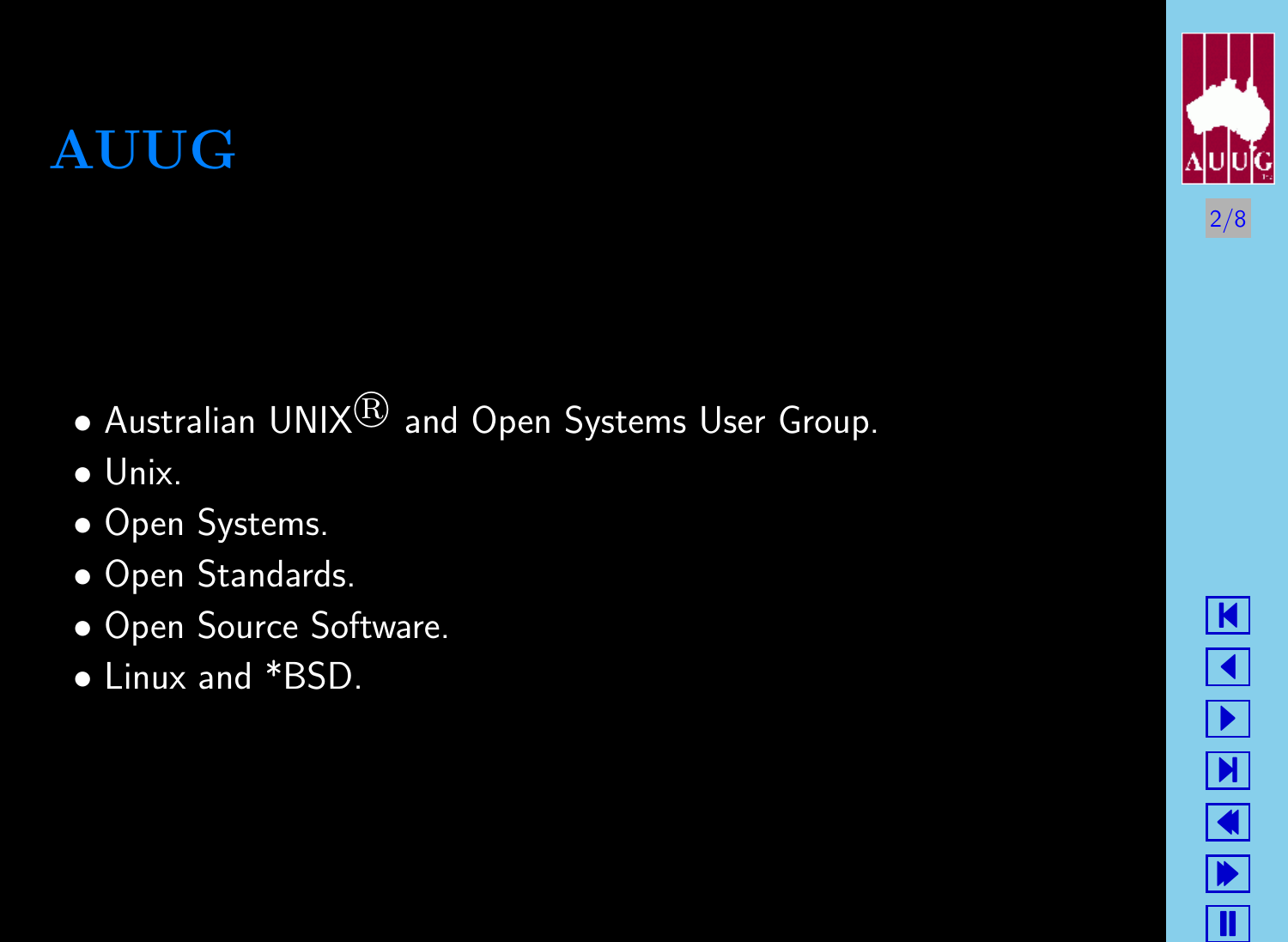$\bullet$  Australian UNIX $^{\circledR}$  and Open Systems User Group.

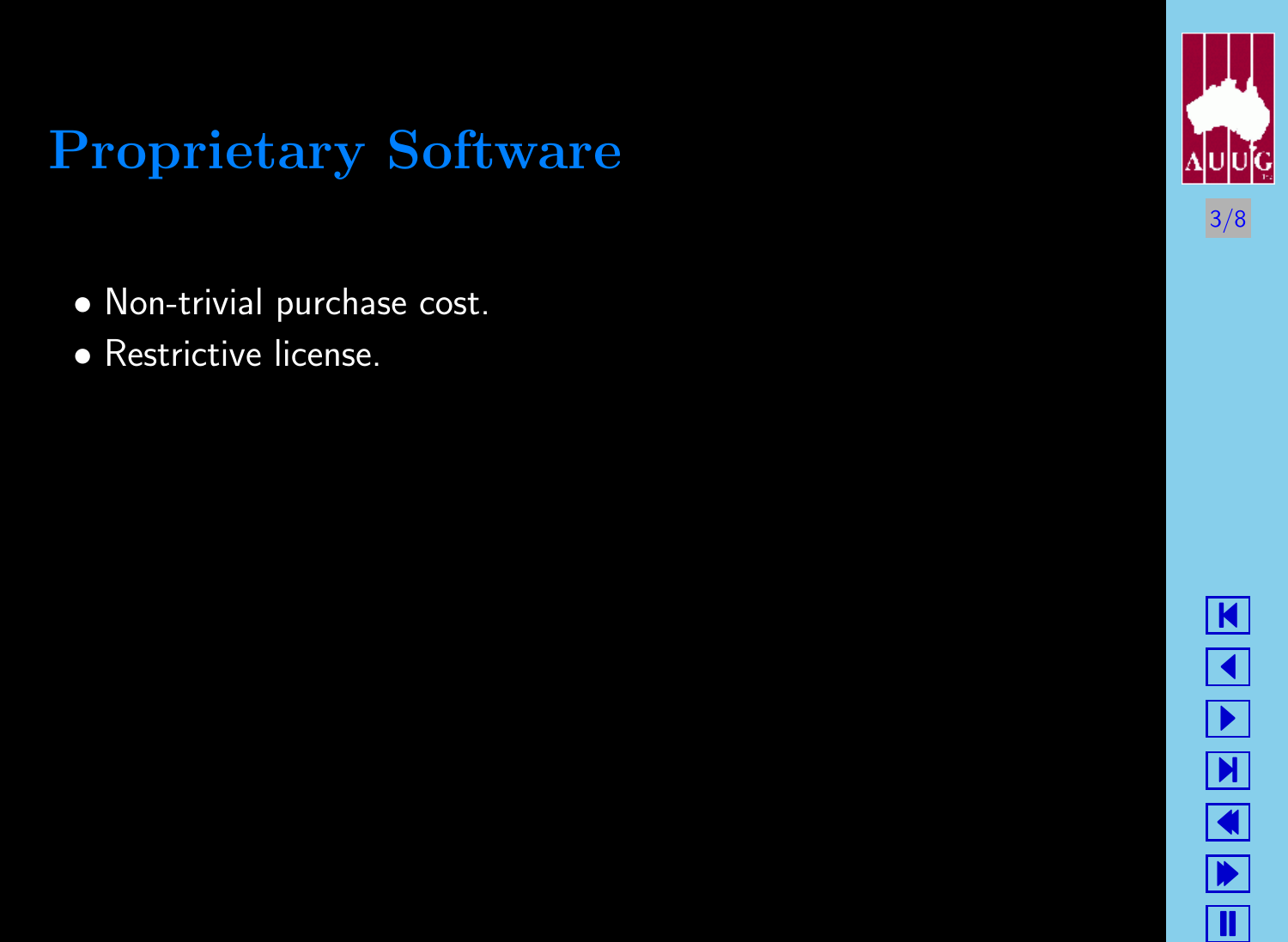# Proprietary Software

- Non-trivial purchase cost.
- Restrictive license.



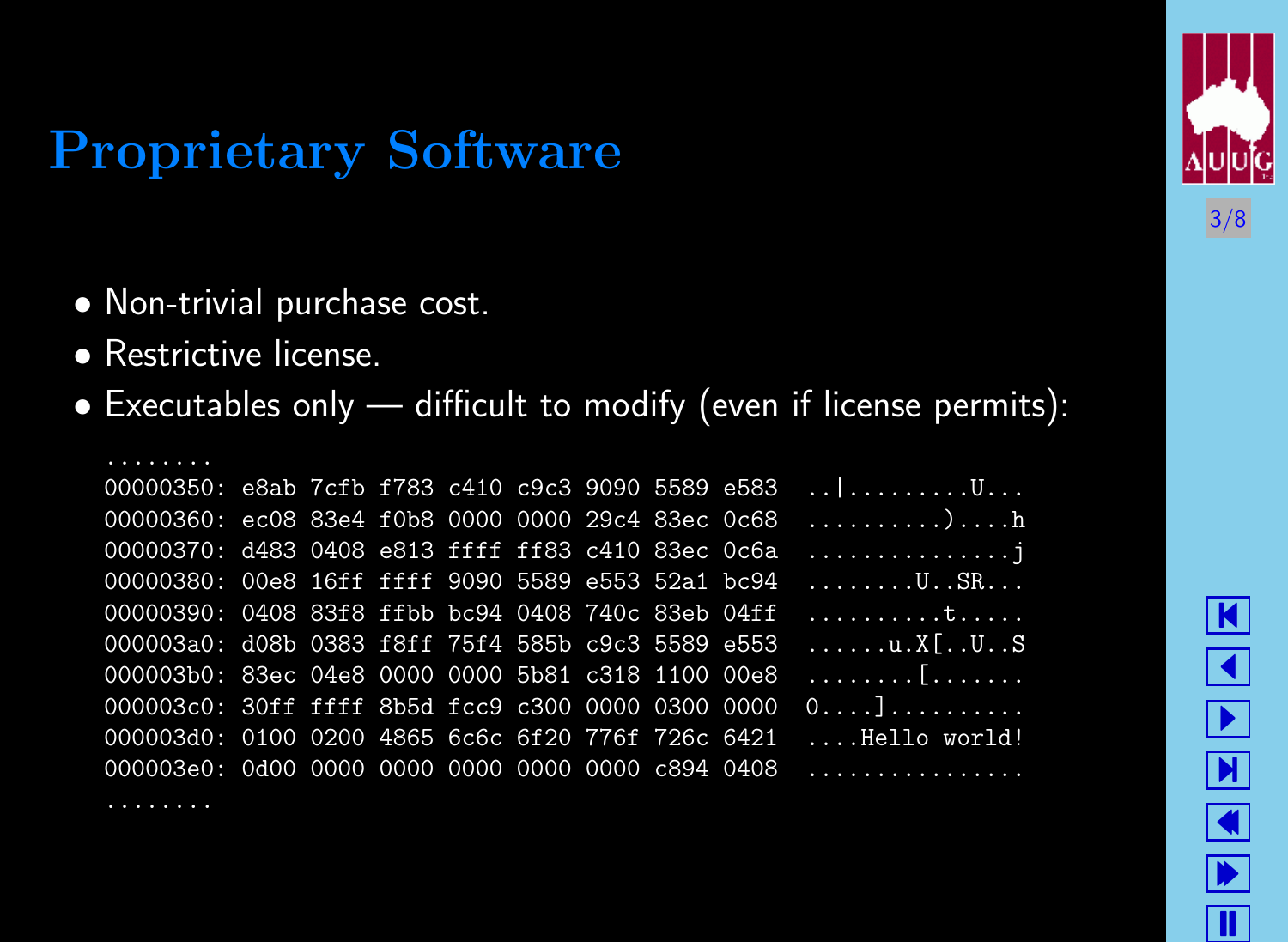# Proprietary Software

- Non-trivial purchase cost.
- Restrictive license.



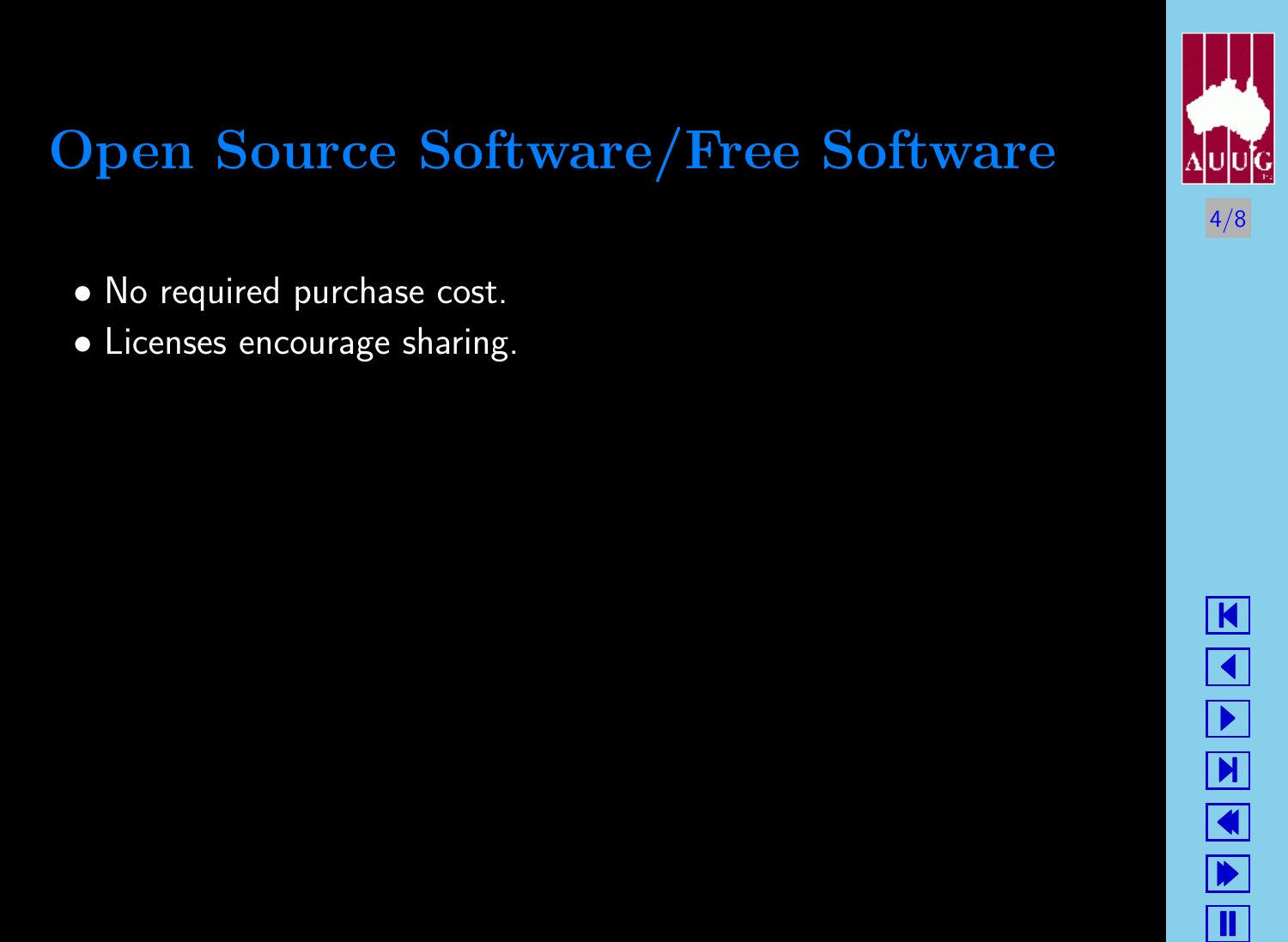# 4/8

# Open Source Software/Free Software

- No required purchase cost.
- Licenses encourage sharing.

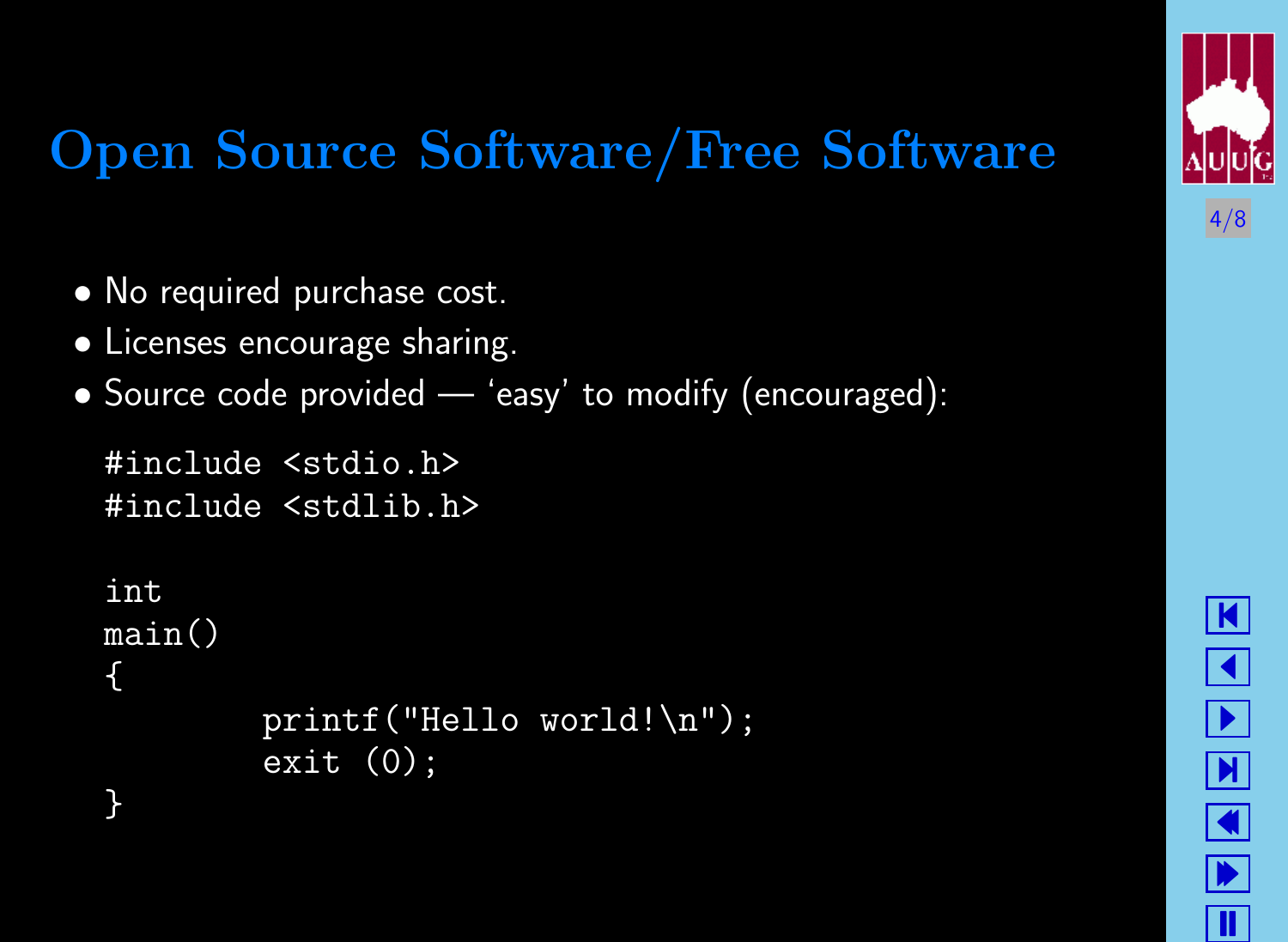# 4/8

# Open Source Software/Free Software

- No required purchase cost.
- Licenses encourage sharing.

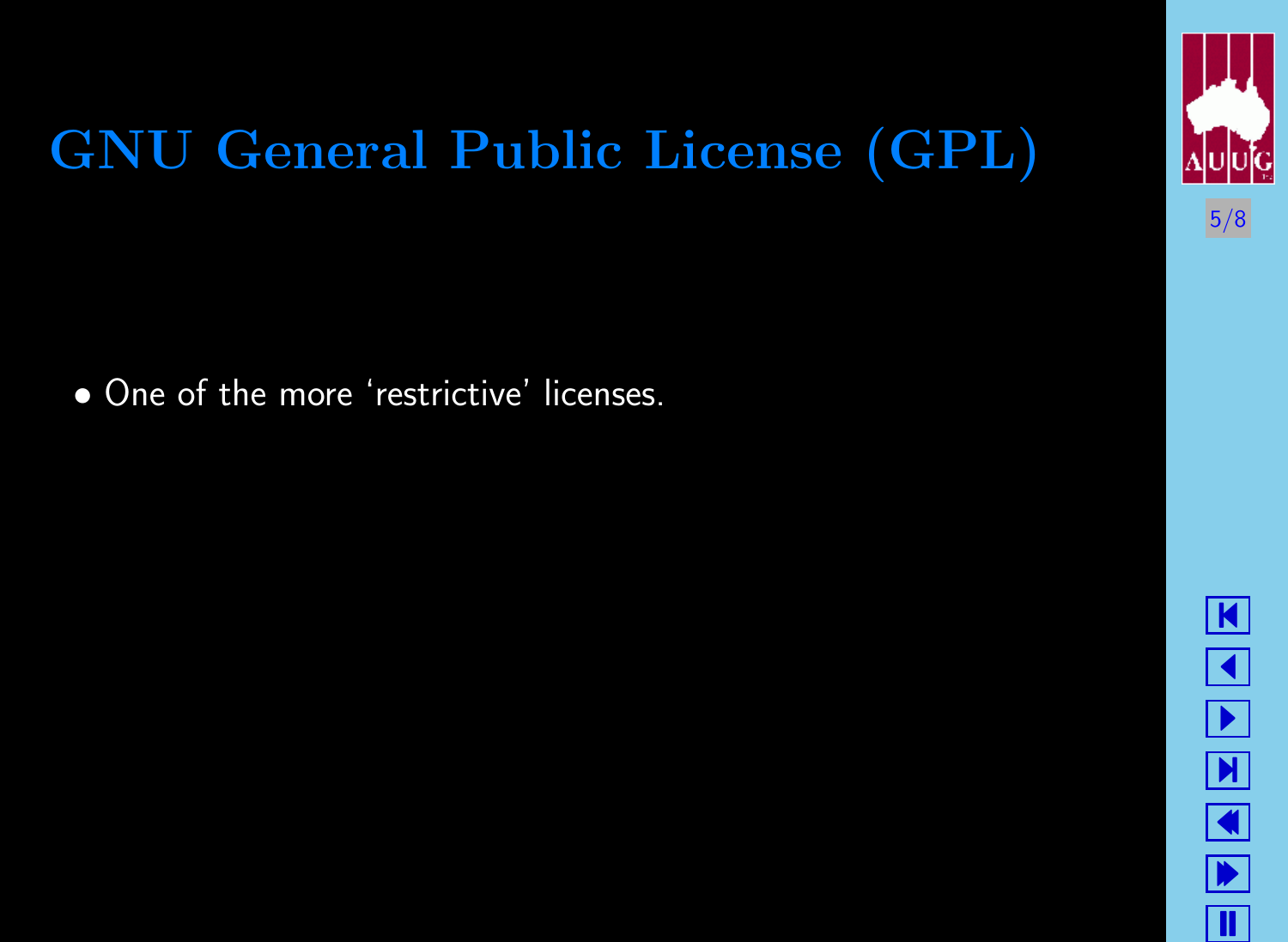

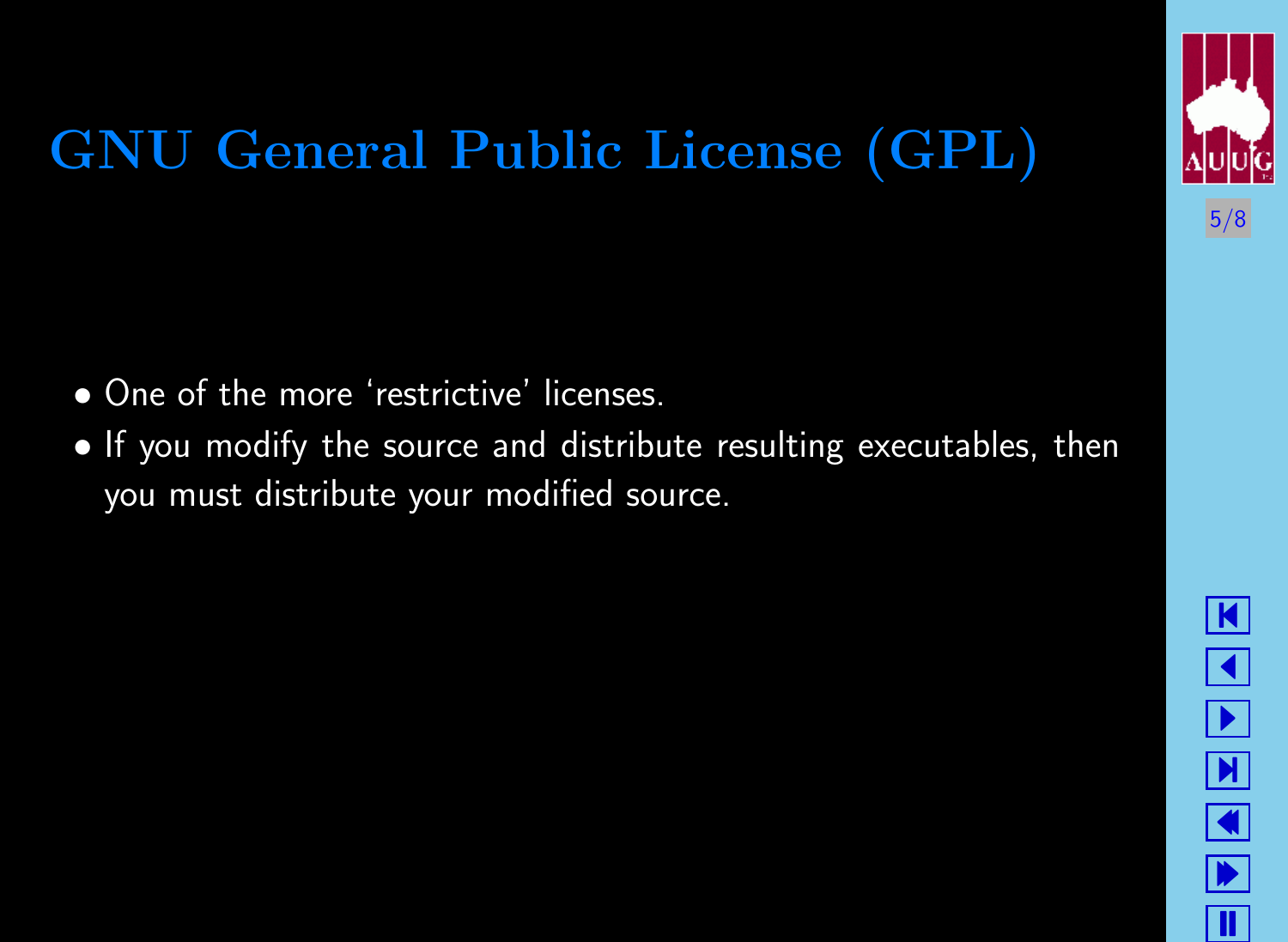

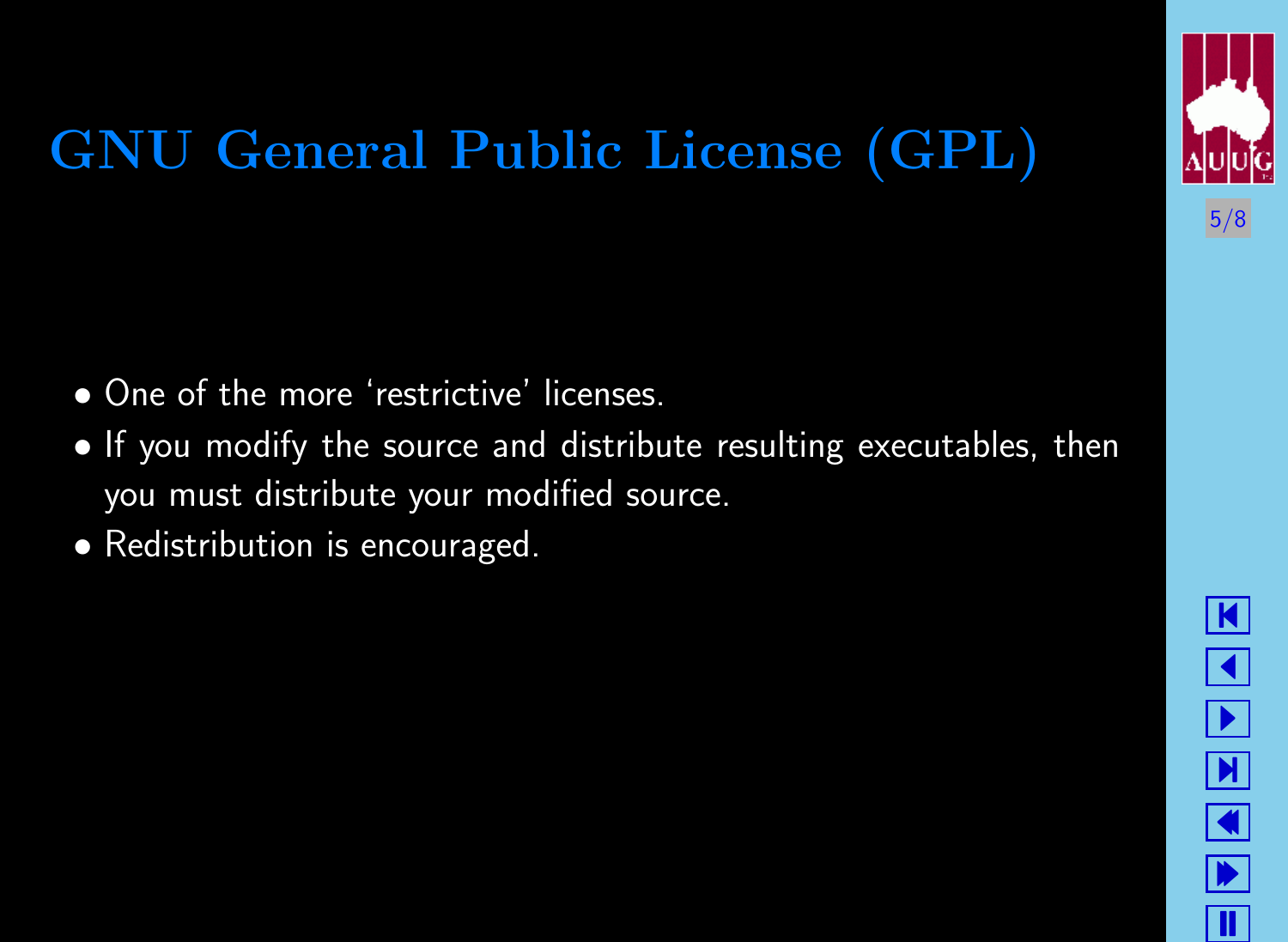

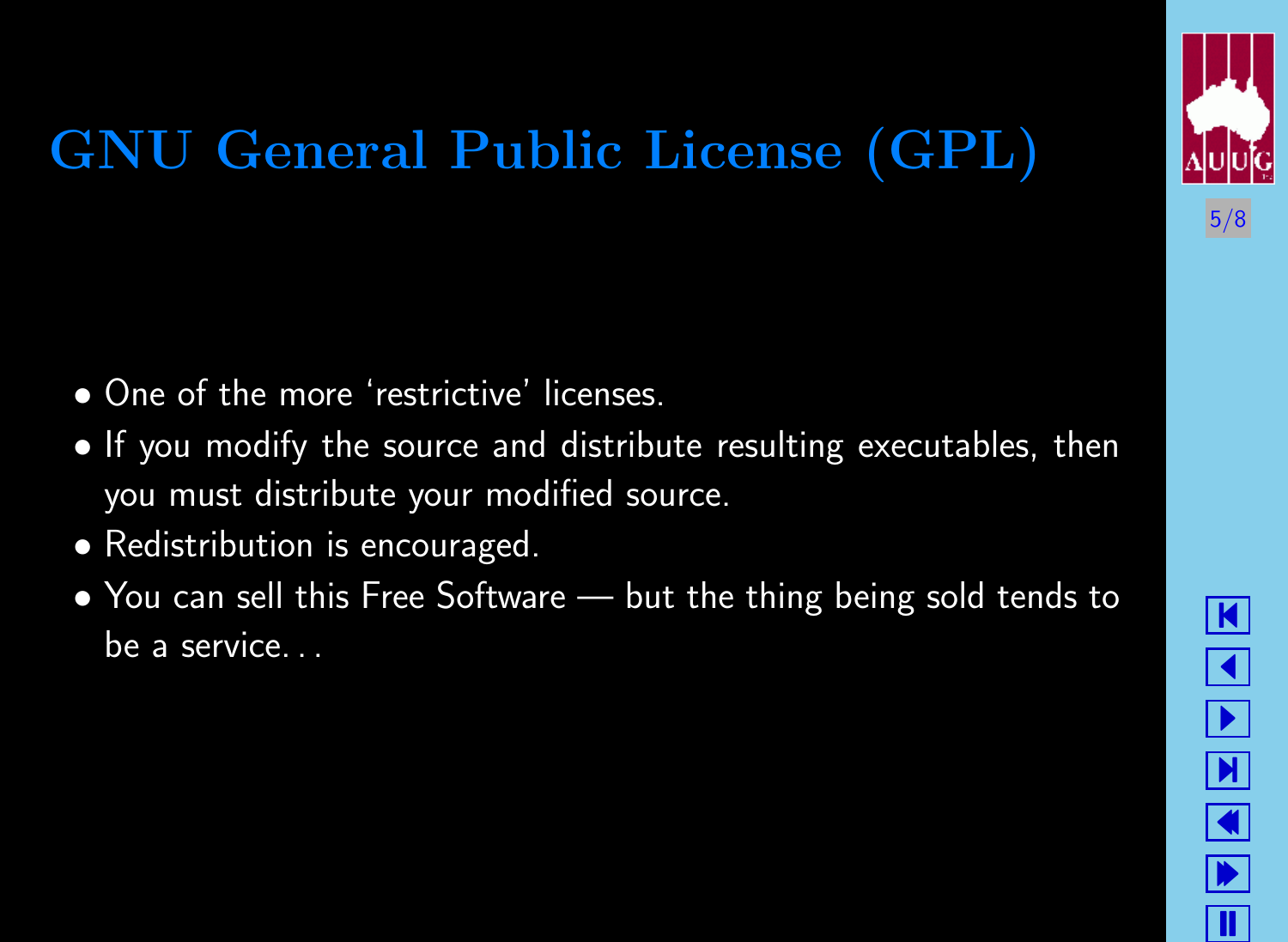

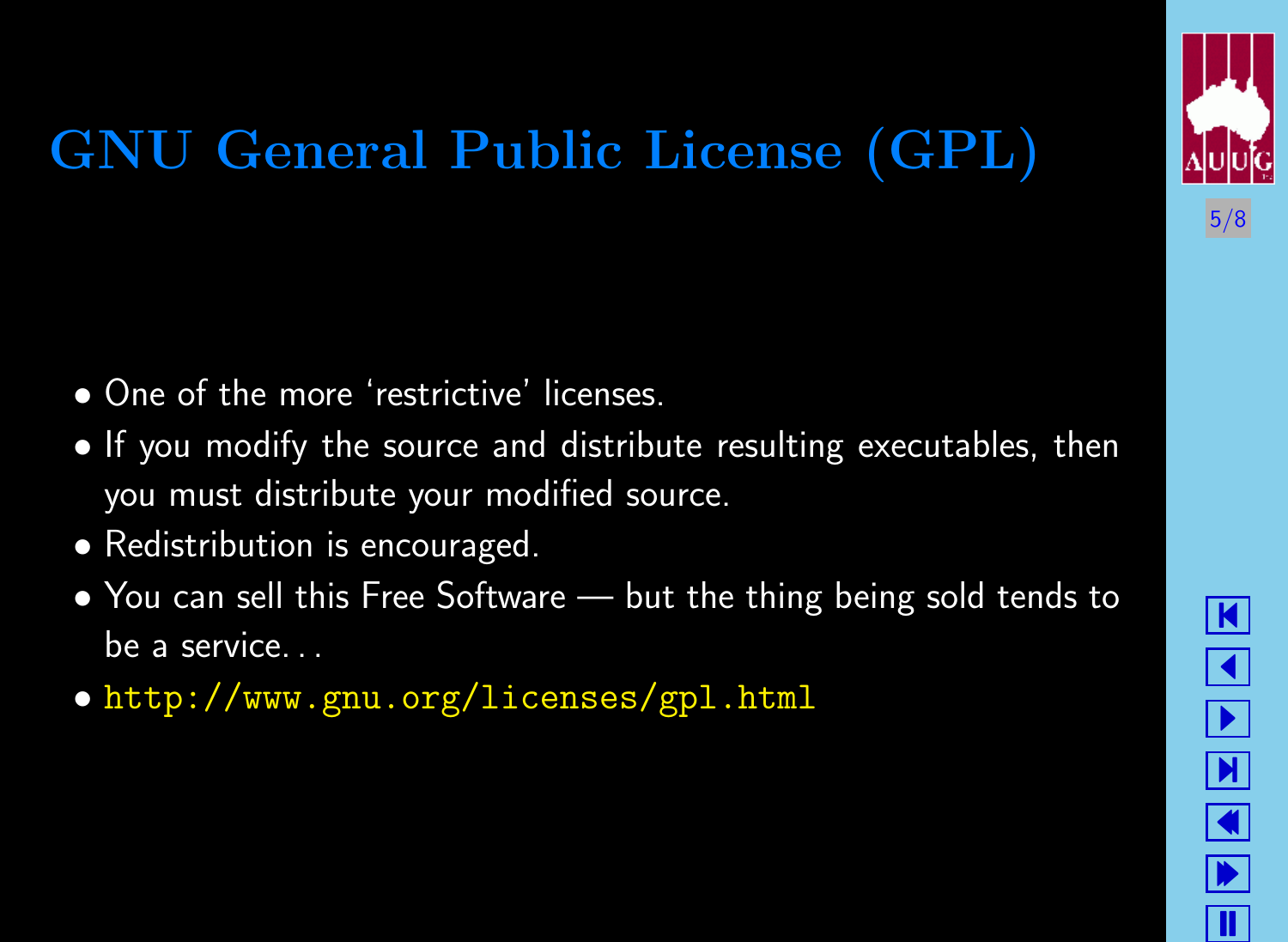

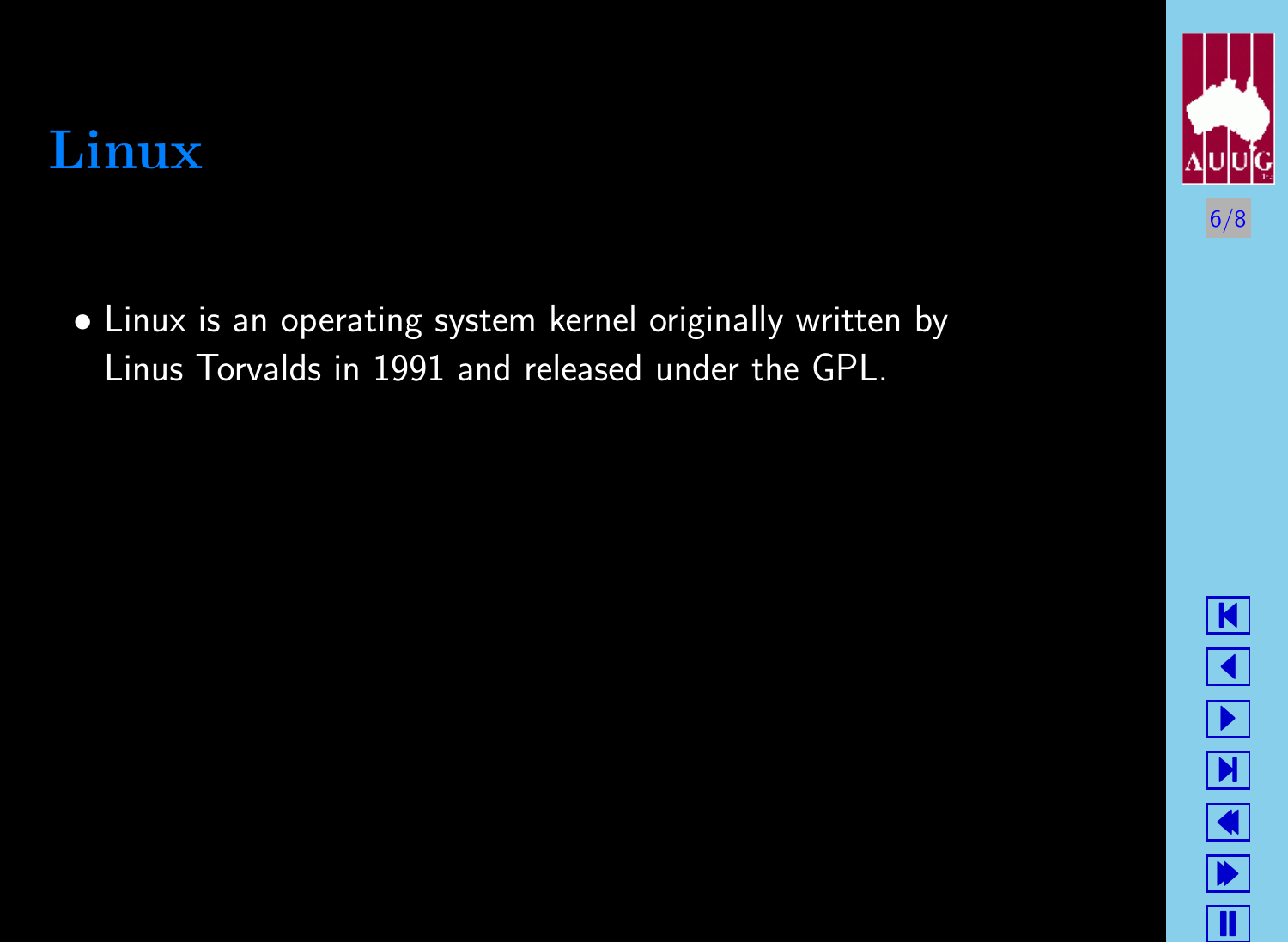

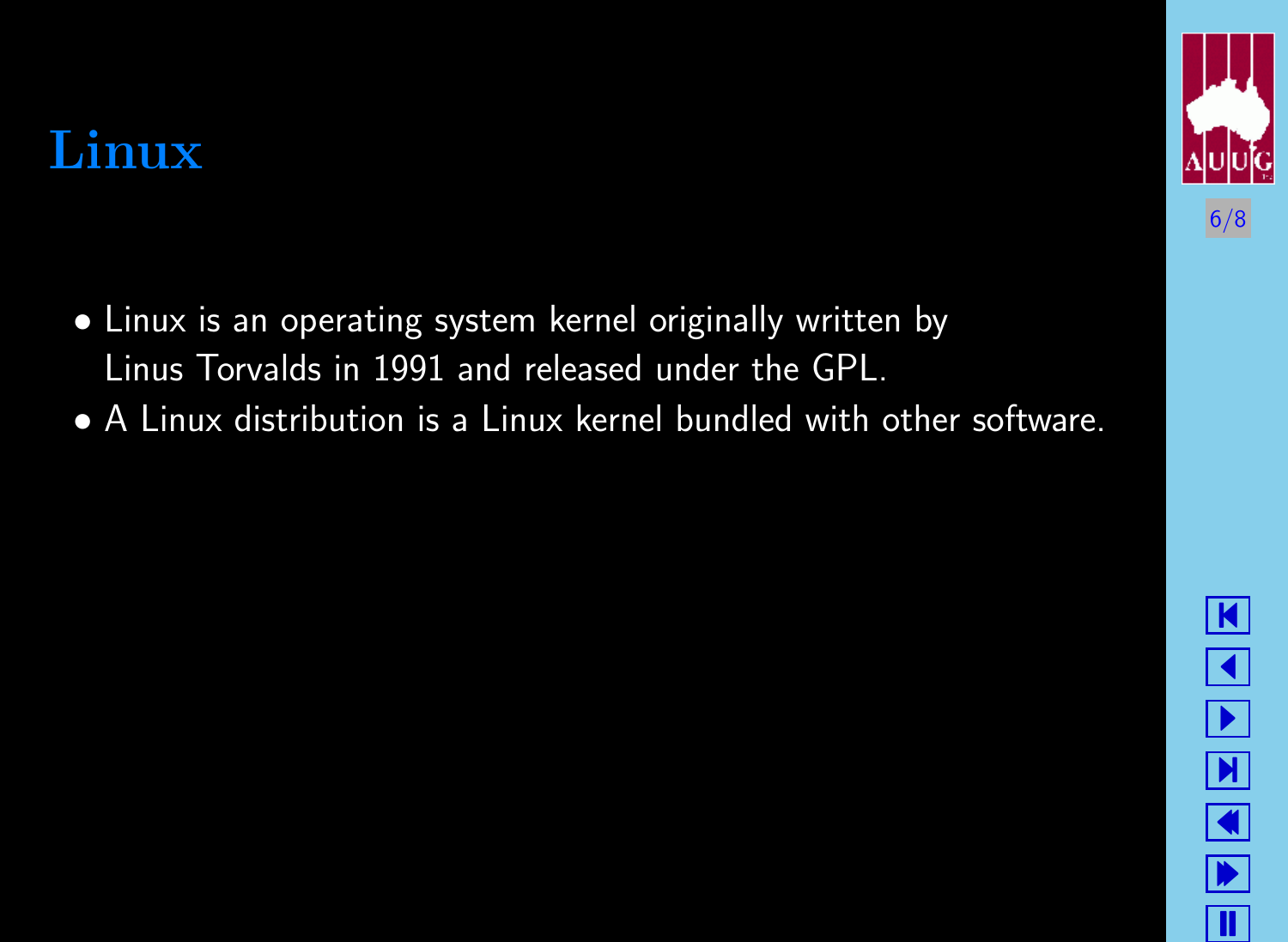

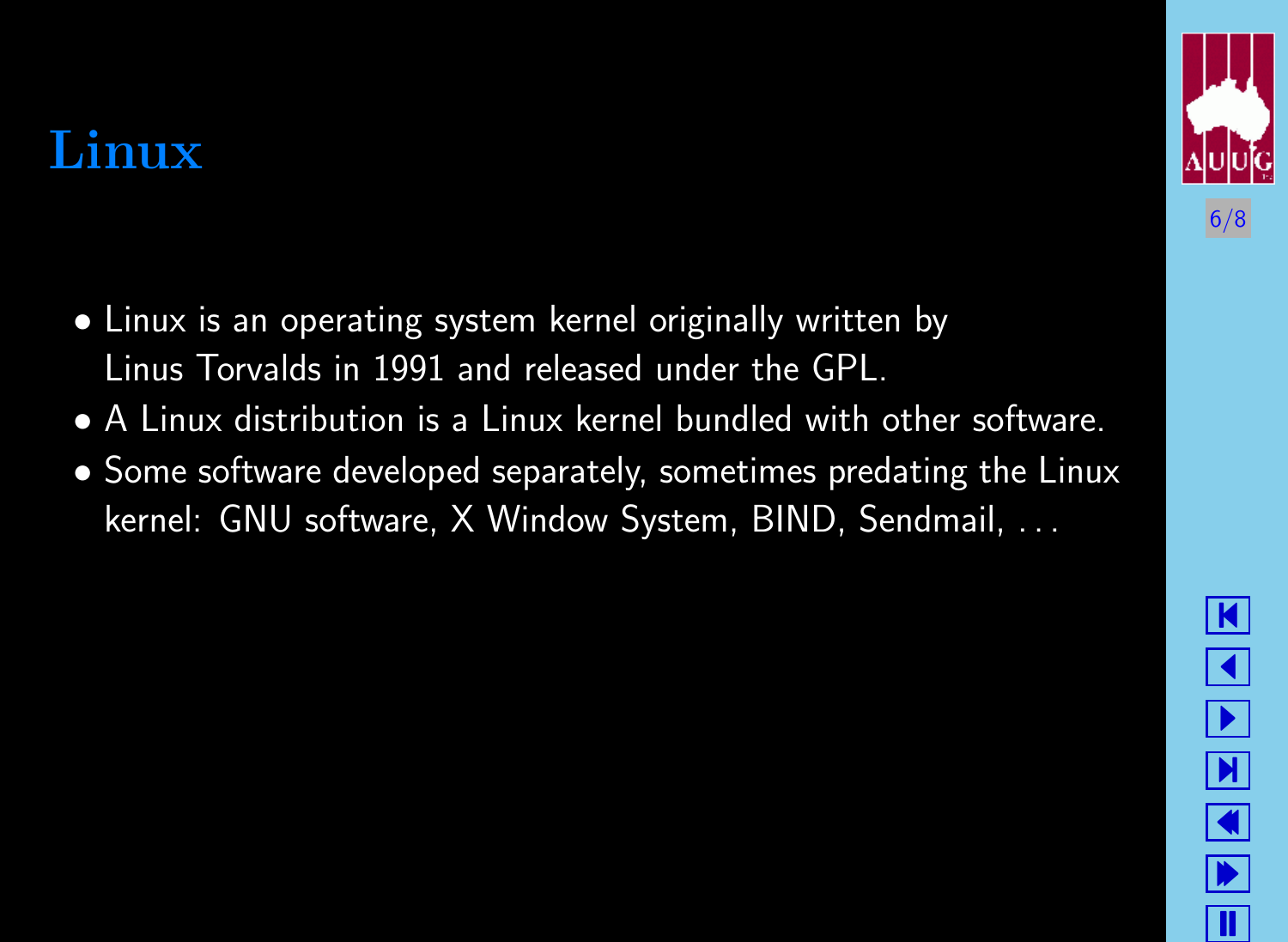

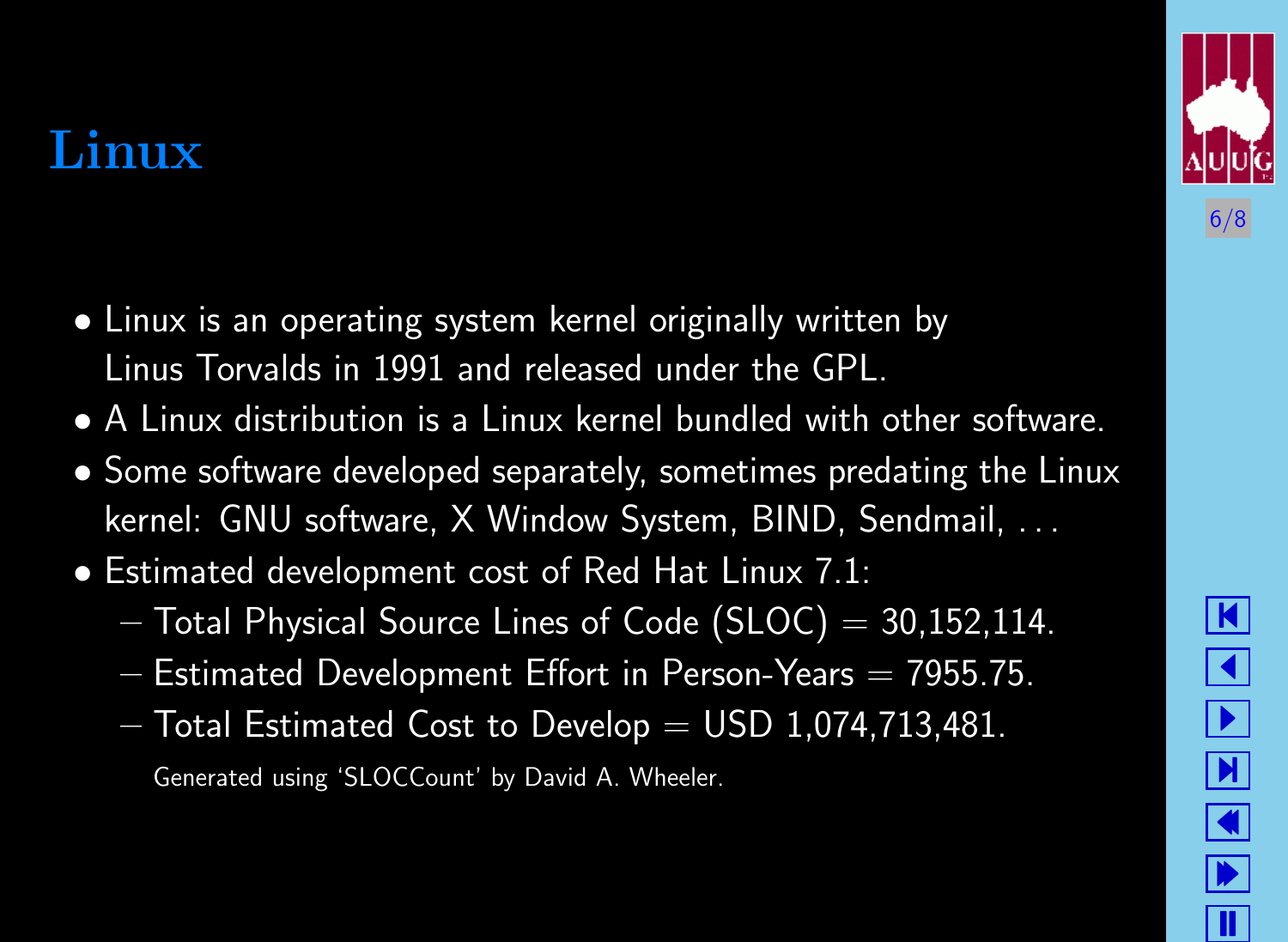

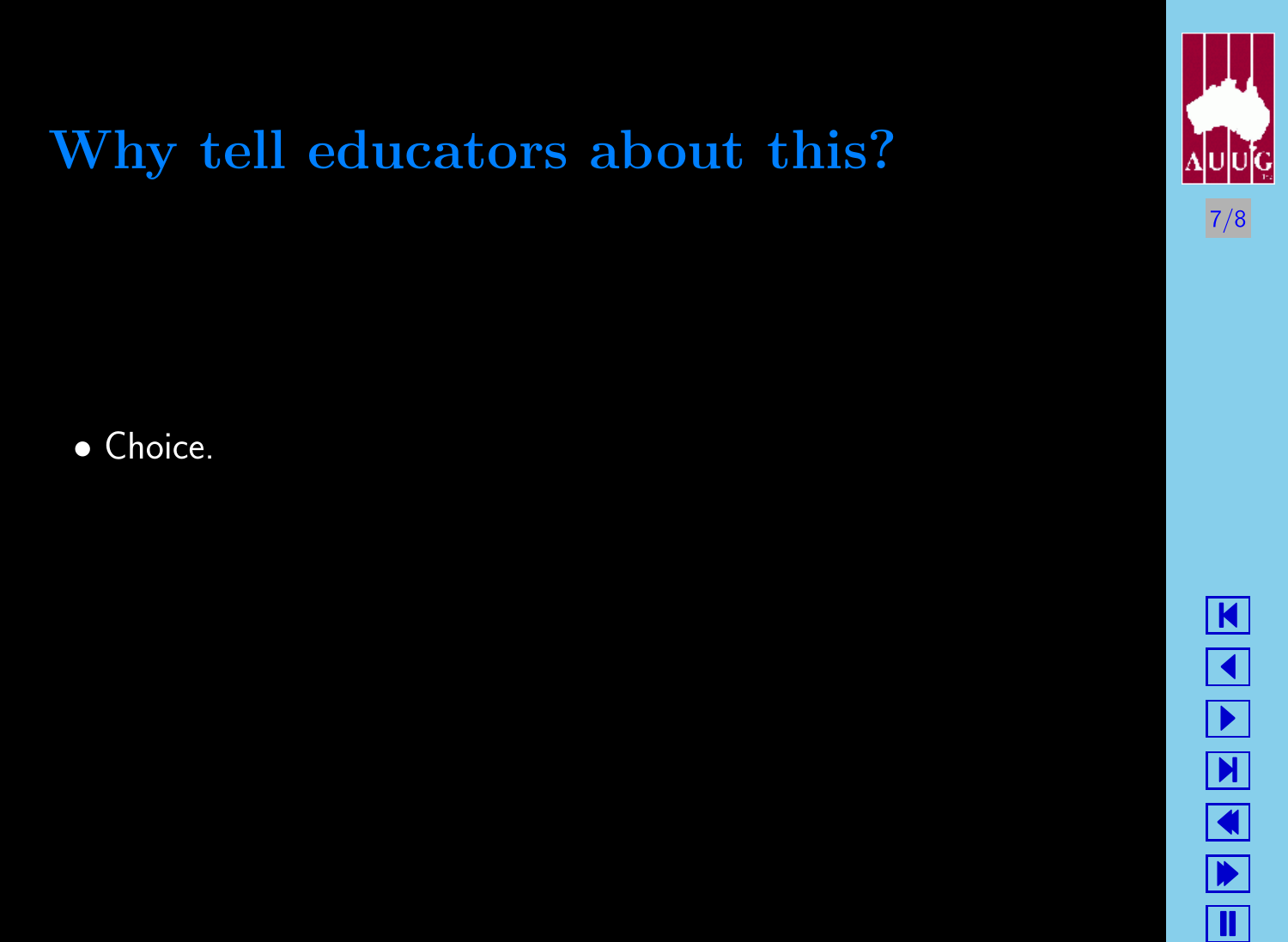

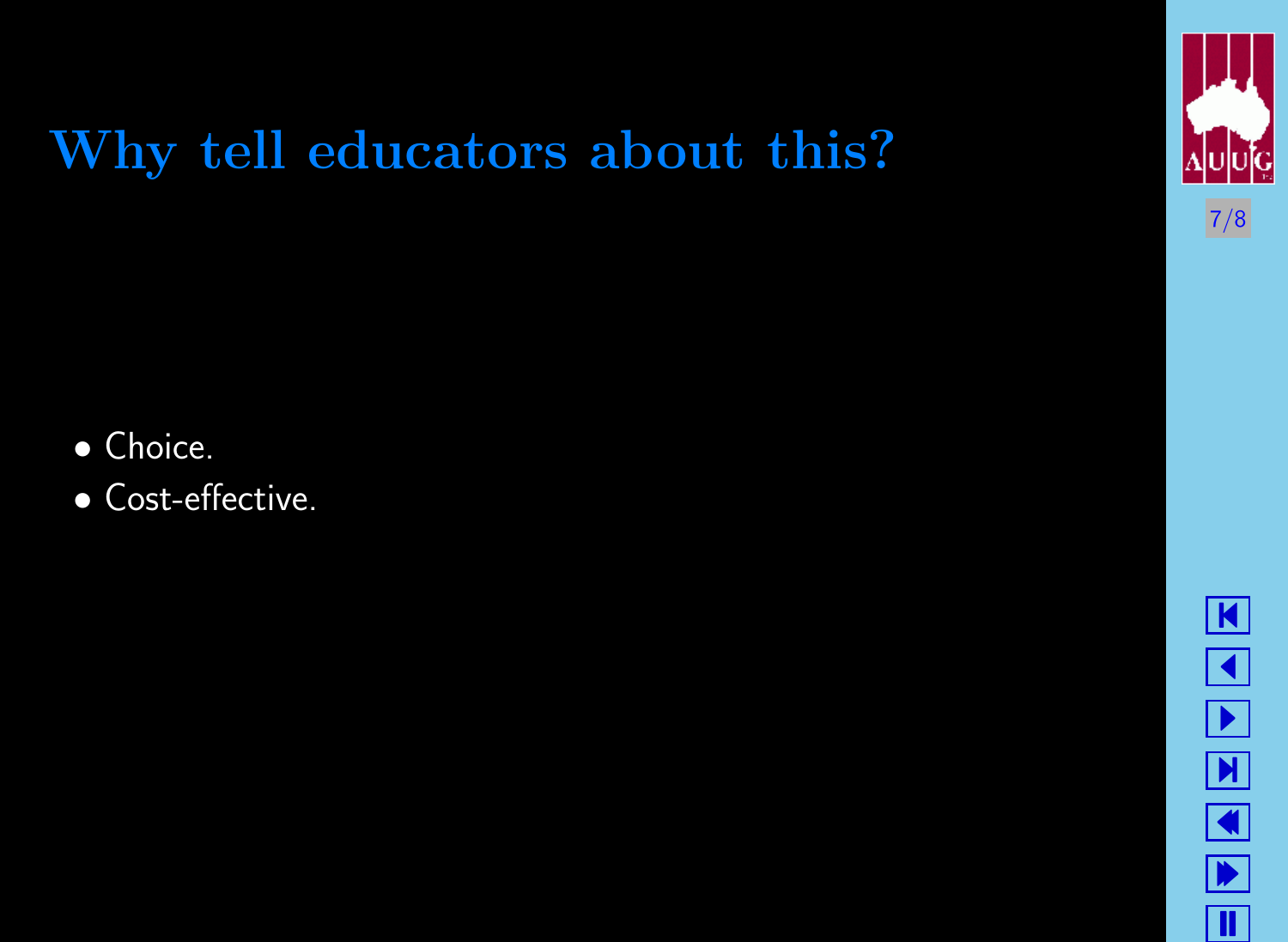

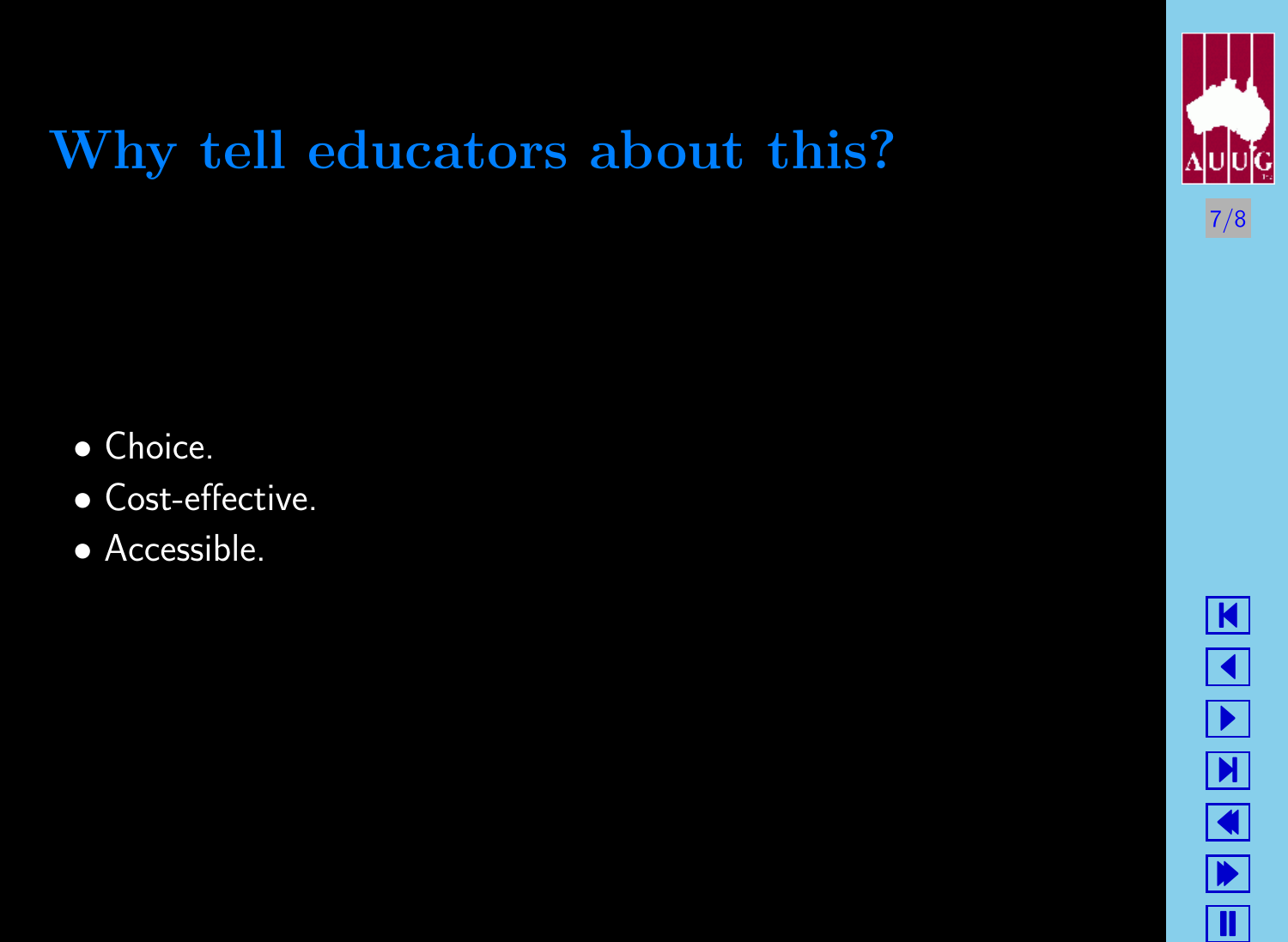

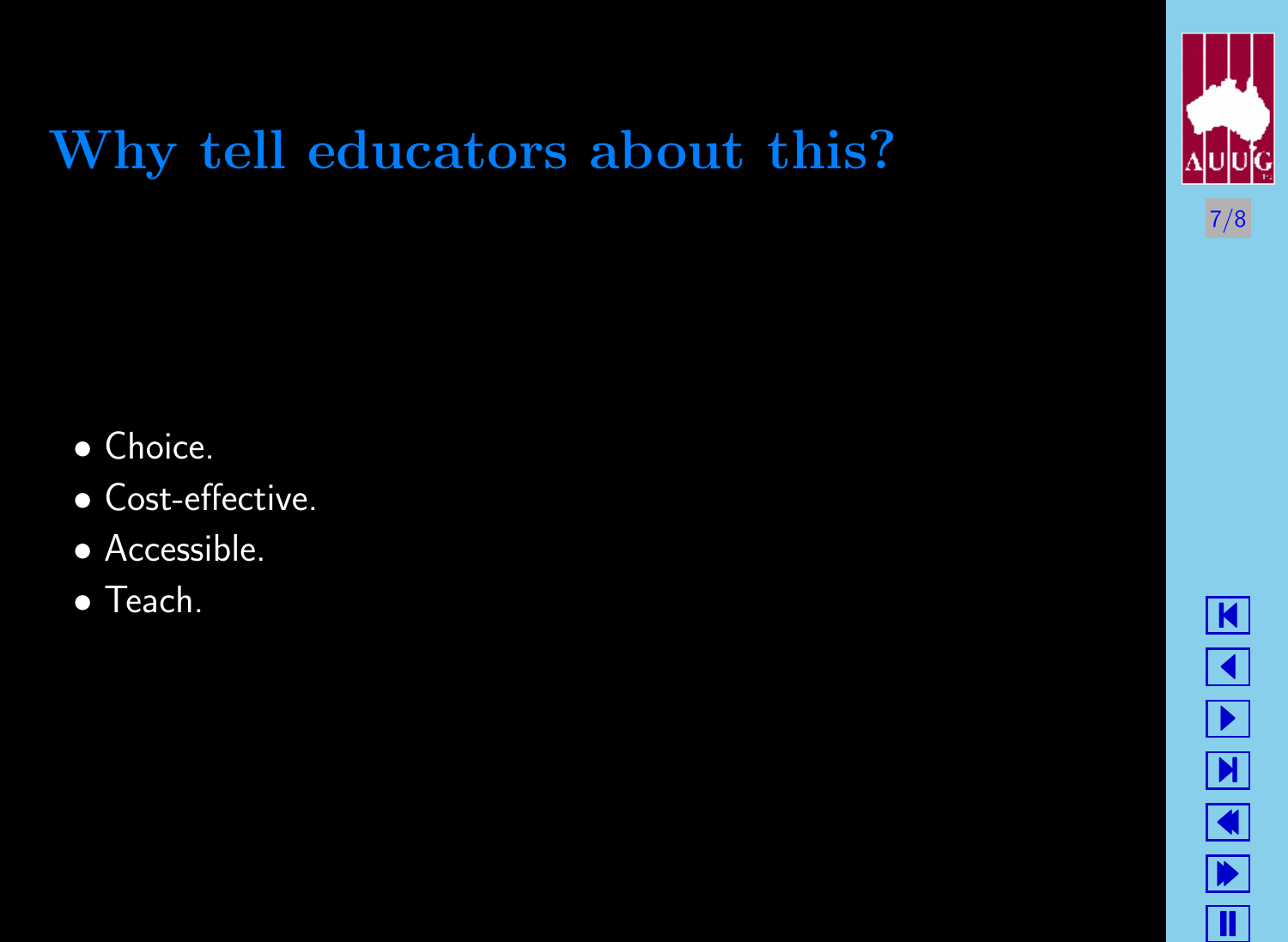

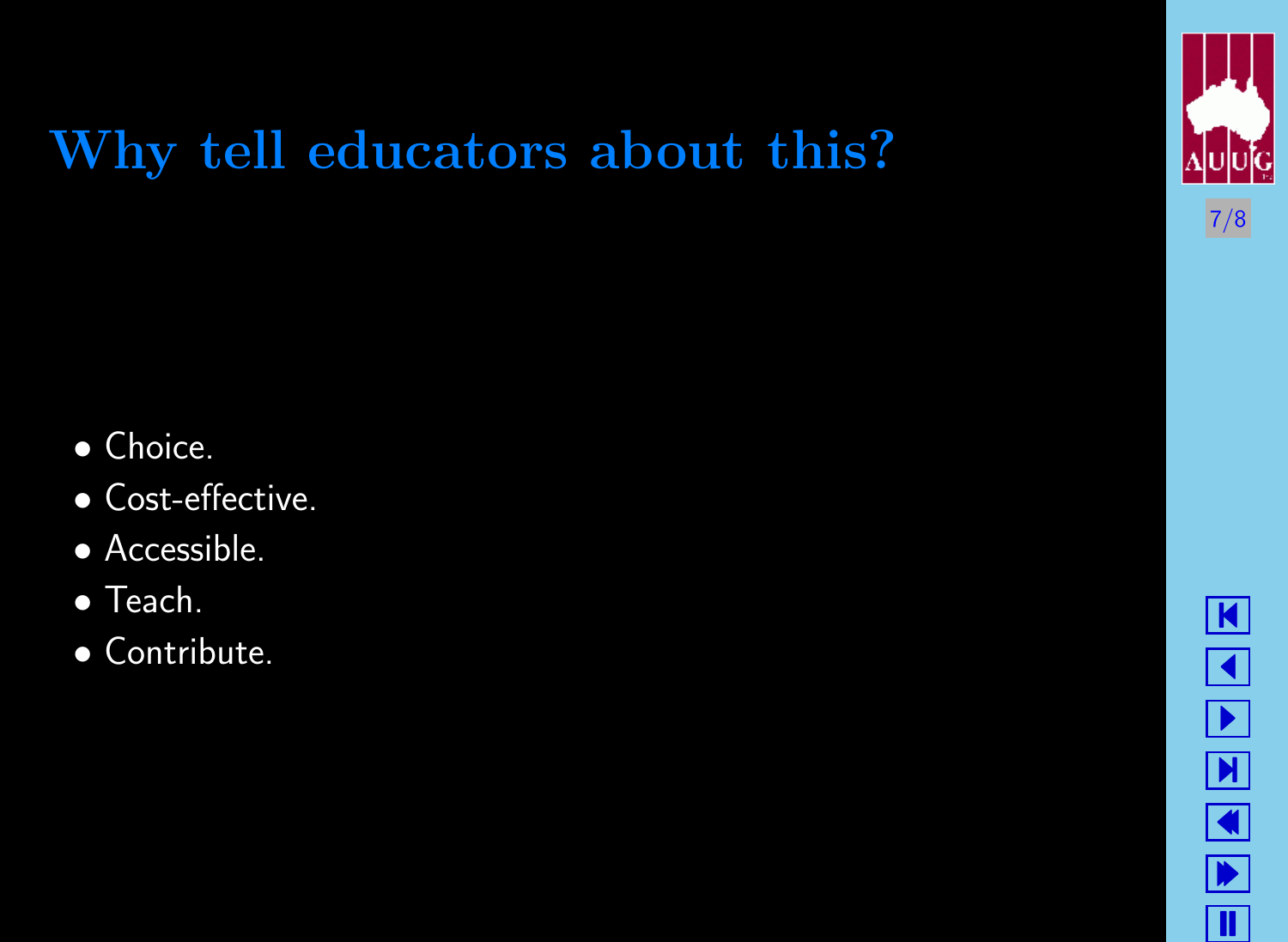